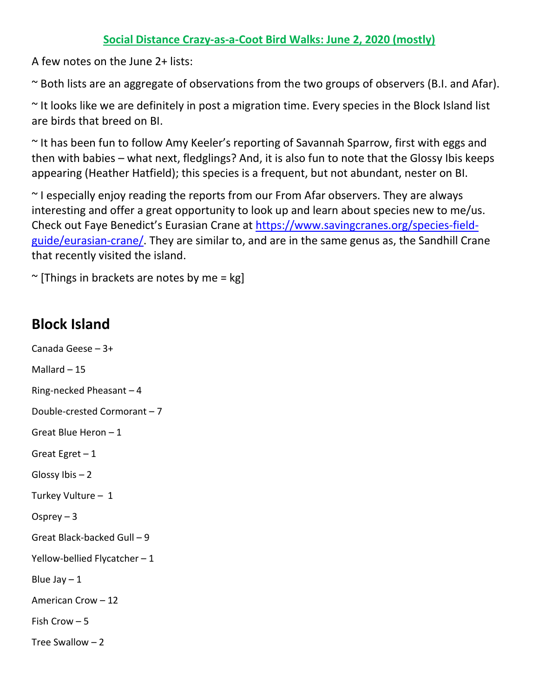## **Social Distance Crazy-as-a-Coot Bird Walks: June 2, 2020 (mostly)**

A few notes on the June 2+ lists:

~ Both lists are an aggregate of observations from the two groups of observers (B.I. and Afar).

~ It looks like we are definitely in post a migration time. Every species in the Block Island list are birds that breed on BI.

~ It has been fun to follow Amy Keeler's reporting of Savannah Sparrow, first with eggs and then with babies – what next, fledglings? And, it is also fun to note that the Glossy Ibis keeps appearing (Heather Hatfield); this species is a frequent, but not abundant, nester on BI.

 $\sim$  I especially enjoy reading the reports from our From Afar observers. They are always interesting and offer a great opportunity to look up and learn about species new to me/us. Check out Faye Benedict's Eurasian Crane at [https://www.savingcranes.org/species-field](https://www.savingcranes.org/species-field-guide/eurasian-crane/)[guide/eurasian-crane/.](https://www.savingcranes.org/species-field-guide/eurasian-crane/) They are similar to, and are in the same genus as, the Sandhill Crane that recently visited the island.

 $\sim$  [Things in brackets are notes by me = kg]

## **Block Island**

Canada Geese – 3+ Mallard – 15 Ring-necked Pheasant – 4 Double-crested Cormorant – 7 Great Blue Heron – 1 Great Egret  $-1$ Glossy Ibis – 2 Turkey Vulture – 1 Osprey – 3 Great Black-backed Gull – 9 Yellow-bellied Flycatcher – 1 Blue Jay  $-1$ American Crow – 12 Fish Crow – 5 Tree Swallow – 2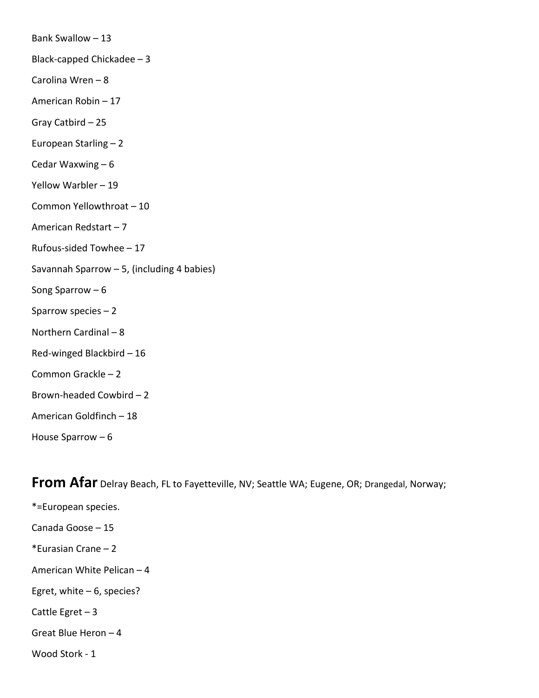| Bank Swallow - 13                          |
|--------------------------------------------|
| Black-capped Chickadee - 3                 |
| Carolina Wren-8                            |
| American Robin - 17                        |
| Gray Catbird - 25                          |
| European Starling - 2                      |
| Cedar Waxwing $-6$                         |
| Yellow Warbler - 19                        |
| Common Yellowthroat - 10                   |
| American Redstart-7                        |
| Rufous-sided Towhee - 17                   |
| Savannah Sparrow - 5, (including 4 babies) |
| Song Sparrow $-6$                          |
| Sparrow species $-2$                       |
| Northern Cardinal - 8                      |
| Red-winged Blackbird - 16                  |
| Common Grackle-2                           |
| Brown-headed Cowbird-2                     |
| American Goldfinch - 18                    |
| House Sparrow $-6$                         |
|                                            |

**From Afar** Delray Beach, FL to Fayetteville, NV; Seattle WA; Eugene, OR; Drangedal, Norway;

\*=European species. Canada Goose – 15 \*Eurasian Crane – 2 American White Pelican – 4 Egret, white – 6, species? Cattle Egret – 3 Great Blue Heron – 4 Wood Stork - 1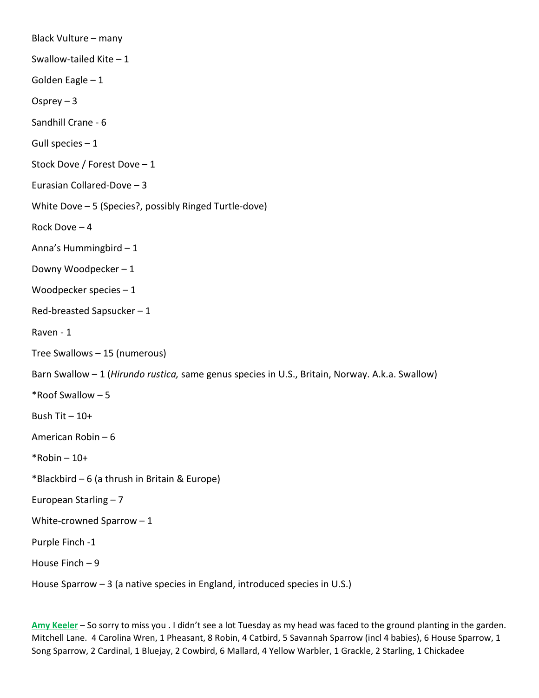Black Vulture – many Swallow-tailed Kite – 1 Golden Eagle – 1 Osprey – 3 Sandhill Crane - 6 Gull species – 1 Stock Dove / Forest Dove – 1 Eurasian Collared-Dove – 3 White Dove – 5 (Species?, possibly Ringed Turtle-dove) Rock Dove – 4 Anna's Hummingbird – 1 Downy Woodpecker – 1 Woodpecker species – 1 Red-breasted Sapsucker – 1 Raven - 1 Tree Swallows – 15 (numerous) Barn Swallow – 1 (*Hirundo rustica,* same genus species in U.S., Britain, Norway. A.k.a. Swallow) \*Roof Swallow – 5 Bush Tit  $-10+$ American Robin – 6  $*$ Robin – 10+ \*Blackbird – 6 (a thrush in Britain & Europe) European Starling – 7 White-crowned Sparrow – 1 Purple Finch -1 House Finch – 9 House Sparrow – 3 (a native species in England, introduced species in U.S.)

**Amy Keeler** – So sorry to miss you . I didn't see a lot Tuesday as my head was faced to the ground planting in the garden. Mitchell Lane. 4 Carolina Wren, 1 Pheasant, 8 Robin, 4 Catbird, 5 Savannah Sparrow (incl 4 babies), 6 House Sparrow, 1 Song Sparrow, 2 Cardinal, 1 Bluejay, 2 Cowbird, 6 Mallard, 4 Yellow Warbler, 1 Grackle, 2 Starling, 1 Chickadee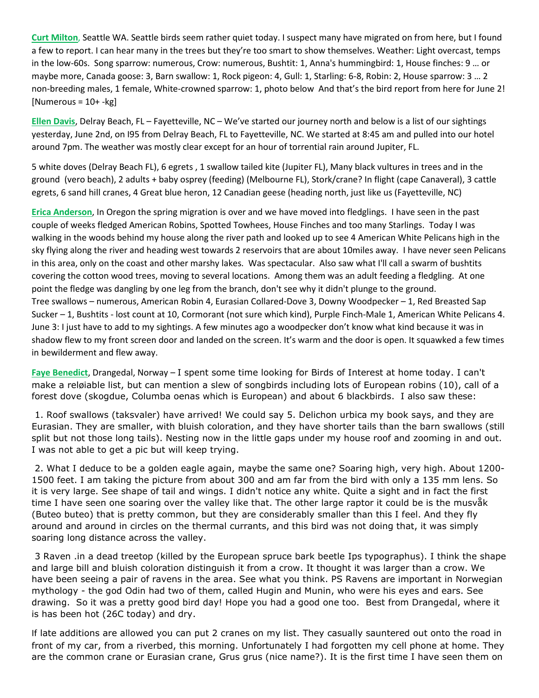**Curt Milton**, Seattle WA. Seattle birds seem rather quiet today. I suspect many have migrated on from here, but I found a few to report. I can hear many in the trees but they're too smart to show themselves. Weather: Light overcast, temps in the low-60s. Song sparrow: numerous, Crow: numerous, Bushtit: 1, Anna's hummingbird: 1, House finches: 9 … or maybe more, Canada goose: 3, Barn swallow: 1, Rock pigeon: 4, Gull: 1, Starling: 6-8, Robin: 2, House sparrow: 3 … 2 non-breeding males, 1 female, White-crowned sparrow: 1, photo below And that's the bird report from here for June 2!  $[Numerous = 10 + -kg]$ 

**Ellen Davis**, Delray Beach, FL – Fayetteville, NC – We've started our journey north and below is a list of our sightings yesterday, June 2nd, on I95 from Delray Beach, FL to Fayetteville, NC. We started at 8:45 am and pulled into our hotel around 7pm. The weather was mostly clear except for an hour of torrential rain around Jupiter, FL.

5 white doves (Delray Beach FL), 6 egrets , 1 swallow tailed kite (Jupiter FL), Many black vultures in trees and in the ground (vero beach), 2 adults + baby osprey (feeding) (Melbourne FL), Stork/crane? In flight (cape Canaveral), 3 cattle egrets, 6 sand hill cranes, 4 Great blue heron, 12 Canadian geese (heading north, just like us (Fayetteville, NC)

**Erica Anderson**, In Oregon the spring migration is over and we have moved into fledglings. I have seen in the past couple of weeks fledged American Robins, Spotted Towhees, House Finches and too many Starlings. Today I was walking in the woods behind my house along the river path and looked up to see 4 American White Pelicans high in the sky flying along the river and heading west towards 2 reservoirs that are about 10miles away. I have never seen Pelicans in this area, only on the coast and other marshy lakes. Was spectacular. Also saw what I'll call a swarm of bushtits covering the cotton wood trees, moving to several locations. Among them was an adult feeding a fledgling. At one point the fledge was dangling by one leg from the branch, don't see why it didn't plunge to the ground. Tree swallows – numerous, American Robin 4, Eurasian Collared-Dove 3, Downy Woodpecker – 1, Red Breasted Sap Sucker – 1, Bushtits - lost count at 10, Cormorant (not sure which kind), Purple Finch-Male 1, American White Pelicans 4. June 3: I just have to add to my sightings. A few minutes ago a woodpecker don't know what kind because it was in shadow flew to my front screen door and landed on the screen. It's warm and the door is open. It squawked a few times in bewilderment and flew away.

**Faye Benedict**, Drangedal, Norway – I spent some time looking for Birds of Interest at home today. I can't make a reløiable list, but can mention a slew of songbirds including lots of European robins (10), call of a forest dove (skogdue, Columba oenas which is European) and about 6 blackbirds. I also saw these:

1. Roof swallows (taksvaler) have arrived! We could say 5. Delichon urbica my book says, and they are Eurasian. They are smaller, with bluish coloration, and they have shorter tails than the barn swallows (still split but not those long tails). Nesting now in the little gaps under my house roof and zooming in and out. I was not able to get a pic but will keep trying.

2. What I deduce to be a golden eagle again, maybe the same one? Soaring high, very high. About 1200- 1500 feet. I am taking the picture from about 300 and am far from the bird with only a 135 mm lens. So it is very large. See shape of tail and wings. I didn't notice any white. Quite a sight and in fact the first time I have seen one soaring over the valley like that. The other large raptor it could be is the musvåk (Buteo buteo) that is pretty common, but they are considerably smaller than this I feel. And they fly around and around in circles on the thermal currants, and this bird was not doing that, it was simply soaring long distance across the valley.

3 Raven .in a dead treetop (killed by the European spruce bark beetle Ips typographus). I think the shape and large bill and bluish coloration distinguish it from a crow. It thought it was larger than a crow. We have been seeing a pair of ravens in the area. See what you think. PS Ravens are important in Norwegian mythology - the god Odin had two of them, called Hugin and Munin, who were his eyes and ears. See drawing. So it was a pretty good bird day! Hope you had a good one too. Best from Drangedal, where it is has been hot (26C today) and dry.

If late additions are allowed you can put 2 cranes on my list. They casually sauntered out onto the road in front of my car, from a riverbed, this morning. Unfortunately I had forgotten my cell phone at home. They are the common crane or Eurasian crane, Grus grus (nice name?). It is the first time I have seen them on